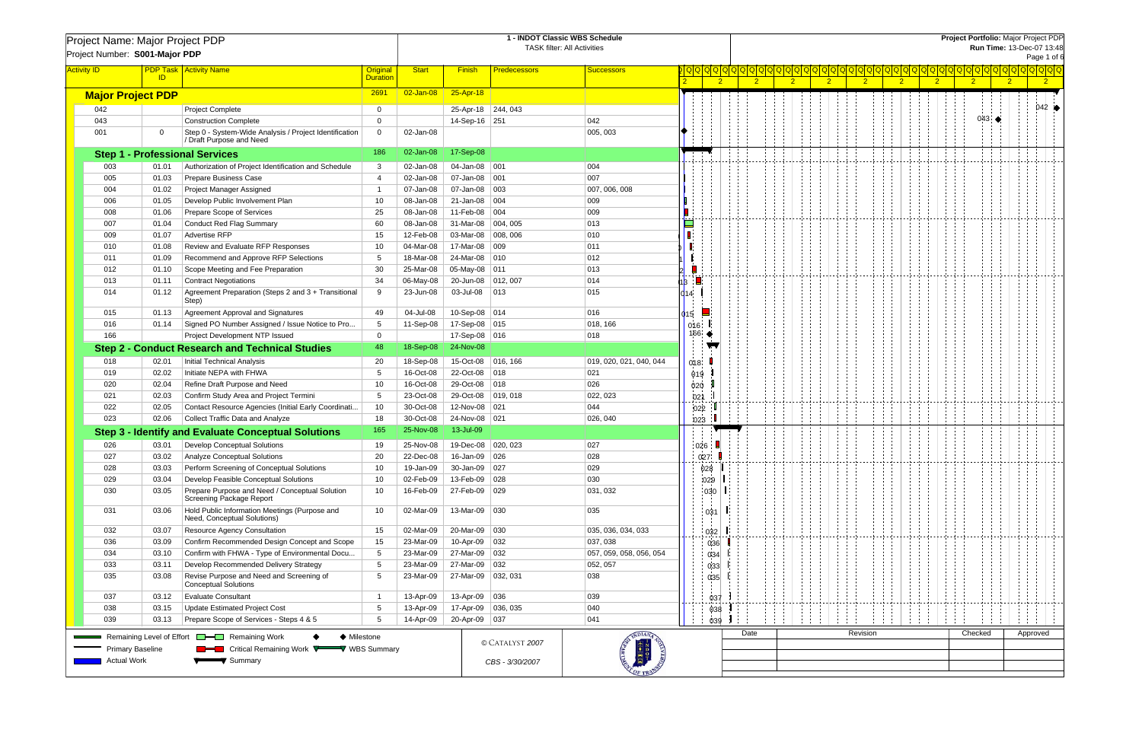| Project Name: Major Project PDP                                                         |                                                                          |                                                                                    |                 | 1 - INDOT Classic WBS Schedule<br><b>TASK filter: All Activities</b> |                      |                     |                                 |       |                            |                |                | Project Portfolio: Major Project PDP<br>Run Time: 13-Dec-07 13:48 |                |                |                                     |                |                |  |                                  |                |          |                 |  |  |
|-----------------------------------------------------------------------------------------|--------------------------------------------------------------------------|------------------------------------------------------------------------------------|-----------------|----------------------------------------------------------------------|----------------------|---------------------|---------------------------------|-------|----------------------------|----------------|----------------|-------------------------------------------------------------------|----------------|----------------|-------------------------------------|----------------|----------------|--|----------------------------------|----------------|----------|-----------------|--|--|
| Project Number: S001-Major PDP                                                          |                                                                          |                                                                                    |                 |                                                                      |                      |                     |                                 |       |                            |                |                |                                                                   |                |                |                                     |                |                |  |                                  |                |          | Page 1 of 6     |  |  |
| <b>Activity ID</b>                                                                      |                                                                          | <b>PDP Task   Activity Name</b>                                                    | Original        | <b>Start</b>                                                         | <b>Finish</b>        | <b>Predecessors</b> | <b>Successors</b>               |       |                            |                |                |                                                                   |                |                | <u> 이어어어어어어어어어어어어어어어어어어어어어어어어어어</u> |                |                |  | 000000000000000000               |                |          |                 |  |  |
|                                                                                         | ID                                                                       |                                                                                    | <b>Duration</b> |                                                                      |                      |                     |                                 |       |                            | 2 <sup>2</sup> | $\overline{2}$ |                                                                   | 2 <sup>2</sup> | $\overline{2}$ |                                     | 2 <sup>2</sup> | 2 <sup>2</sup> |  | 2 <sup>2</sup><br>2 <sup>2</sup> | $\overline{2}$ |          | $\overline{2}$  |  |  |
| <b>Major Project PDP</b>                                                                |                                                                          |                                                                                    | 2691            | 02-Jan-08                                                            | 25-Apr-18            |                     |                                 |       |                            |                |                |                                                                   |                |                |                                     |                |                |  |                                  |                |          |                 |  |  |
| 042                                                                                     |                                                                          | <b>Project Complete</b>                                                            | $\mathbf 0$     |                                                                      | 25-Apr-18 244, 043   |                     |                                 |       |                            |                |                |                                                                   |                |                |                                     |                |                |  |                                  |                |          | $042$ $\bullet$ |  |  |
| 043                                                                                     |                                                                          | <b>Construction Complete</b>                                                       | $\Omega$        |                                                                      | 14-Sep-16 251        |                     | 042                             |       |                            |                |                |                                                                   |                |                |                                     |                |                |  | $043$ $\blacklozenge$            |                |          |                 |  |  |
| 001                                                                                     | $\Omega$                                                                 | Step 0 - System-Wide Analysis / Project Identification<br>/ Draft Purpose and Need | $\overline{0}$  | 02-Jan-08                                                            |                      |                     | 005, 003                        |       |                            |                |                |                                                                   |                |                |                                     |                |                |  |                                  |                |          |                 |  |  |
|                                                                                         |                                                                          | <b>Step 1 - Professional Services</b>                                              | 186             | 02-Jan-08                                                            | 17-Sep-08            |                     |                                 |       |                            |                |                |                                                                   |                |                |                                     |                |                |  |                                  |                |          |                 |  |  |
| 003                                                                                     | 01.01                                                                    | Authorization of Project Identification and Schedule                               | -3              | 02-Jan-08                                                            | 04-Jan-08 001        |                     | 004                             |       |                            |                |                |                                                                   |                |                |                                     |                |                |  |                                  |                |          |                 |  |  |
| 005                                                                                     | 01.03                                                                    | Prepare Business Case                                                              | $\overline{4}$  | 02-Jan-08                                                            | 07-Jan-08 001        |                     | 007                             |       |                            |                |                |                                                                   |                |                |                                     |                |                |  |                                  |                |          |                 |  |  |
| 004                                                                                     | 01.02                                                                    | Project Manager Assigned                                                           |                 | 07-Jan-08                                                            | 07-Jan-08 003        |                     | 007, 006, 008                   |       |                            |                |                |                                                                   |                |                |                                     |                |                |  |                                  |                |          |                 |  |  |
| 006                                                                                     | 01.05                                                                    | Develop Public Involvement Plan                                                    | 10              | 08-Jan-08                                                            | 21-Jan-08 004        |                     | 009                             |       |                            |                |                |                                                                   |                |                |                                     |                |                |  |                                  |                |          |                 |  |  |
| 008                                                                                     | 01.06                                                                    | Prepare Scope of Services                                                          | 25              | 08-Jan-08                                                            | 11-Feb-08 004        |                     | 009                             |       |                            |                |                |                                                                   |                |                |                                     |                |                |  |                                  |                |          |                 |  |  |
| 007                                                                                     | 01.04                                                                    | <b>Conduct Red Flag Summary</b>                                                    | 60              | 08-Jan-08                                                            | 31-Mar-08            | 004, 005            | $ 013\rangle$                   |       |                            |                |                |                                                                   |                |                |                                     |                |                |  |                                  |                |          |                 |  |  |
| 009                                                                                     | 01.07                                                                    | <b>Advertise RFP</b>                                                               | 15              | 12-Feb-08                                                            | 03-Mar-08   008, 006 |                     | 010                             |       |                            |                |                |                                                                   |                |                |                                     |                |                |  |                                  |                |          |                 |  |  |
| 010                                                                                     | 01.08                                                                    | Review and Evaluate RFP Responses                                                  | 10              | 04-Mar-08                                                            | 17-Mar-08            | 009                 | 011                             |       |                            |                |                |                                                                   |                |                |                                     |                |                |  |                                  |                |          |                 |  |  |
| 011                                                                                     | 01.09                                                                    | Recommend and Approve RFP Selections                                               | -5              | 18-Mar-08                                                            | 24-Mar-08 010        |                     | $ 012\rangle$                   |       |                            |                |                |                                                                   |                |                |                                     |                |                |  |                                  |                |          |                 |  |  |
| 012                                                                                     | 01.10                                                                    | Scope Meeting and Fee Preparation                                                  | 30              | 25-Mar-08                                                            | 05-May-08 011        |                     | $ 013\rangle$                   |       |                            |                |                |                                                                   |                |                |                                     |                |                |  |                                  |                |          |                 |  |  |
| 013                                                                                     | 01.11                                                                    | <b>Contract Negotiations</b>                                                       | 34              | 06-May-08                                                            | 20-Jun-08 012, 007   |                     | 014                             |       |                            |                |                |                                                                   |                |                |                                     |                |                |  |                                  |                |          |                 |  |  |
| 014                                                                                     | 01.12                                                                    | Agreement Preparation (Steps 2 and 3 + Transitional                                | 9               | 23-Jun-08                                                            | 03-Jul-08            | 013                 | 015                             |       |                            |                |                |                                                                   |                |                |                                     |                |                |  |                                  |                |          |                 |  |  |
|                                                                                         |                                                                          | Step)                                                                              |                 |                                                                      |                      |                     |                                 |       |                            |                |                |                                                                   |                |                |                                     |                |                |  |                                  |                |          |                 |  |  |
| 015                                                                                     | 01.13                                                                    | Agreement Approval and Signatures                                                  | 49              | 04-Jul-08                                                            | 10-Sep-08 014        |                     | 016                             |       |                            |                |                |                                                                   |                |                |                                     |                |                |  |                                  |                |          |                 |  |  |
| 016                                                                                     | 01.14                                                                    | Signed PO Number Assigned / Issue Notice to Pro                                    | 5               | 11-Sep-08                                                            | 17-Sep-08 015        |                     | 018, 166                        | 016   |                            |                |                |                                                                   |                |                |                                     |                |                |  |                                  |                |          |                 |  |  |
| 166                                                                                     |                                                                          | Project Development NTP Issued                                                     | $\Omega$        |                                                                      | 17-Sep-08 016        |                     | 018                             |       | $166$ $\blacktriangleleft$ |                |                |                                                                   |                |                |                                     |                |                |  |                                  |                |          |                 |  |  |
| <b>Step 2 - Conduct Research and Technical Studies</b>                                  |                                                                          |                                                                                    |                 | 18-Sep-08                                                            | 24-Nov-08            |                     |                                 |       | vν                         |                |                |                                                                   |                |                |                                     |                |                |  |                                  |                |          |                 |  |  |
| 018                                                                                     | 02.01                                                                    | <b>Initial Technical Analysis</b>                                                  | 20              | 18-Sep-08                                                            | 15-Oct-08   016, 166 |                     | 019, 020, 021, 040, 044         | 0'18' |                            |                |                |                                                                   |                |                |                                     |                |                |  |                                  |                |          |                 |  |  |
| 019                                                                                     | 02.02                                                                    | Initiate NEPA with FHWA                                                            | 5               | 16-Oct-08                                                            | 22-Oct-08 018        |                     | 021                             | 019   |                            |                |                |                                                                   |                |                |                                     |                |                |  |                                  |                |          |                 |  |  |
| 020                                                                                     | 02.04                                                                    | Refine Draft Purpose and Need                                                      | 10              | 16-Oct-08                                                            | 29-Oct-08 018        |                     | 026                             | 020   |                            |                |                |                                                                   |                |                |                                     |                |                |  |                                  |                |          |                 |  |  |
| 021                                                                                     | 02.03                                                                    | Confirm Study Area and Project Termini                                             | 5               | 23-Oct-08                                                            | 29-Oct-08   019, 018 |                     | 022, 023                        |       | 021                        |                |                |                                                                   |                |                |                                     |                |                |  |                                  |                |          |                 |  |  |
| 022                                                                                     | 02.05                                                                    | Contact Resource Agencies (Initial Early Coordinati                                | 10              | 30-Oct-08                                                            | 12-Nov-08 021        |                     | 044                             |       | 022                        |                |                |                                                                   |                |                |                                     |                |                |  |                                  |                |          |                 |  |  |
| 023                                                                                     | 02.06                                                                    | Collect Traffic Data and Analyze                                                   | 18              | 30-Oct-08                                                            | 24-Nov-08 021        |                     | 026, 040                        |       | 023                        |                |                |                                                                   |                |                |                                     |                |                |  |                                  |                |          |                 |  |  |
|                                                                                         |                                                                          | <b>Step 3 - Identify and Evaluate Conceptual Solutions</b>                         | 165             | 25-Nov-08                                                            | 13-Jul-09            |                     |                                 |       |                            |                |                |                                                                   |                |                |                                     |                |                |  |                                  |                |          |                 |  |  |
| 026                                                                                     | 03.01                                                                    | <b>Develop Conceptual Solutions</b>                                                | 19              | 25-Nov-08                                                            | 19-Dec-08   020, 023 |                     | 027                             |       | 026                        |                |                |                                                                   |                |                |                                     |                |                |  |                                  |                |          |                 |  |  |
| 027                                                                                     | 03.02                                                                    | <b>Analyze Conceptual Solutions</b>                                                | 20              | 22-Dec-08                                                            | 16-Jan-09 026        |                     | 028                             |       | 0'27'                      |                |                |                                                                   |                |                |                                     |                |                |  |                                  |                |          |                 |  |  |
| 028                                                                                     | 03.03                                                                    | Perform Screening of Conceptual Solutions                                          | 10              | 19-Jan-09                                                            | 30-Jan-09 027        |                     | 029                             |       | 028                        |                |                |                                                                   |                |                |                                     |                |                |  |                                  |                |          |                 |  |  |
| 029                                                                                     | 03.04                                                                    | Develop Feasible Conceptual Solutions                                              | 10              | 02-Feb-09                                                            | 13-Feb-09 028        |                     | 030                             |       | 029                        |                |                |                                                                   |                |                |                                     |                |                |  |                                  |                |          |                 |  |  |
| 030                                                                                     | 03.05                                                                    | Prepare Purpose and Need / Conceptual Solution<br>Screening Package Report         | 10              | 16-Feb-09                                                            | 27-Feb-09 029        |                     | 031, 032                        |       | 030                        |                |                |                                                                   |                |                |                                     |                |                |  |                                  |                |          |                 |  |  |
| 031                                                                                     | 03.06                                                                    | Hold Public Information Meetings (Purpose and<br>Need, Conceptual Solutions)       | 10              | 02-Mar-09                                                            | 13-Mar-09 030        |                     | 035                             |       | 031                        |                |                |                                                                   |                |                |                                     |                |                |  |                                  |                |          |                 |  |  |
| 032                                                                                     | 03.07                                                                    | Resource Agency Consultation                                                       | 15              | 02-Mar-09                                                            | 20-Mar-09 030        |                     | 035, 036, 034, 033              |       | 032                        |                |                |                                                                   |                |                |                                     |                |                |  |                                  |                |          |                 |  |  |
| 036                                                                                     | 03.09                                                                    | Confirm Recommended Design Concept and Scope                                       | 15              | 23-Mar-09                                                            | 10-Apr-09 032        |                     | 037, 038                        |       | 036                        |                |                |                                                                   |                |                |                                     |                |                |  |                                  |                |          |                 |  |  |
| 034                                                                                     | 03.10                                                                    | Confirm with FHWA - Type of Environmental Docu                                     | 5               | 23-Mar-09                                                            | 27-Mar-09 032        |                     | 057, 059, 058, 056, 054         |       | 034                        |                |                |                                                                   |                |                |                                     |                |                |  |                                  |                |          |                 |  |  |
| 033                                                                                     | 03.11                                                                    | Develop Recommended Delivery Strategy                                              | 5               | 23-Mar-09                                                            | 27-Mar-09 032        |                     | 052, 057                        |       | $\mathsf{Q}33$             |                |                |                                                                   |                |                |                                     |                |                |  |                                  |                |          |                 |  |  |
| 035                                                                                     | 03.08                                                                    | Revise Purpose and Need and Screening of<br><b>Conceptual Solutions</b>            | -5              | 23-Mar-09                                                            | 27-Mar-09 032, 031   |                     | 038                             |       | 035                        |                |                |                                                                   |                |                |                                     |                |                |  |                                  |                |          |                 |  |  |
| 037                                                                                     | 03.12                                                                    | <b>Evaluate Consultant</b>                                                         | - 1             | 13-Apr-09                                                            | 13-Apr-09 036        |                     | 039                             |       | -037                       |                |                |                                                                   |                |                |                                     |                |                |  |                                  |                |          |                 |  |  |
| 038                                                                                     | 03.15<br><b>Update Estimated Project Cost</b>                            |                                                                                    | 5               | 13-Apr-09                                                            | 17-Apr-09 036, 035   |                     | $ 040\rangle$                   |       | 038                        |                |                |                                                                   |                |                |                                     |                |                |  |                                  |                |          |                 |  |  |
| 039                                                                                     | 03.13<br>Prepare Scope of Services - Steps 4 & 5<br>5                    |                                                                                    |                 |                                                                      | 20-Apr-09 037        |                     | $ 041\rangle$                   |       | 039                        |                |                |                                                                   |                |                |                                     |                |                |  |                                  |                |          |                 |  |  |
|                                                                                         |                                                                          |                                                                                    |                 |                                                                      |                      |                     | INDIANA                         |       |                            |                | Date           |                                                                   |                |                |                                     | Revision       |                |  | Checked                          |                | Approved |                 |  |  |
|                                                                                         | Remaining Level of Effort <b>Example 2</b> Remaining Work<br>♦ Milestone |                                                                                    |                 |                                                                      |                      | © CATALYST 2007     |                                 |       |                            |                |                |                                                                   |                |                |                                     |                |                |  |                                  |                |          |                 |  |  |
| <b>EXAMPLE Critical Remaining Work VALUATION WBS Summary</b><br><b>Primary Baseline</b> |                                                                          |                                                                                    |                 |                                                                      |                      |                     | <b>MRTAL</b><br>$\frac{1}{100}$ |       |                            |                |                |                                                                   |                |                |                                     |                |                |  |                                  |                |          |                 |  |  |
| <b>Actual Work</b><br>V Summary                                                         |                                                                          |                                                                                    |                 |                                                                      |                      | CBS - 3/30/2007     |                                 |       |                            |                |                |                                                                   |                |                |                                     |                |                |  |                                  |                |          |                 |  |  |
|                                                                                         |                                                                          |                                                                                    |                 |                                                                      |                      |                     |                                 |       |                            |                |                |                                                                   |                |                |                                     |                |                |  |                                  |                |          |                 |  |  |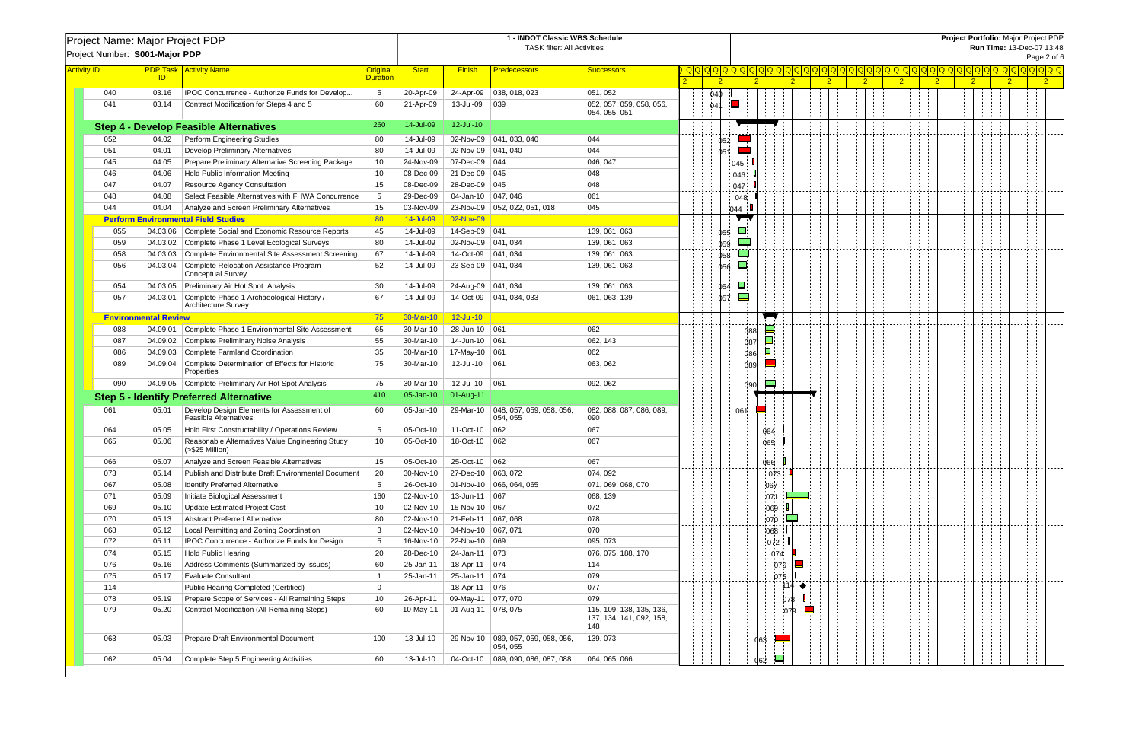|                    | Project Name: Major Project PDP<br>Project Number: S001-Major PDP  |                             |                                                                           |                             | 1 - INDOT Classic WBS Schedule<br><b>TASK filter: All Activities</b> |                      |                                                  |                                                             |                |                                 |                |                | Project Portfolio: Major Project PDP<br>Run Time: 13-Dec-07 13:48<br>Page 2 of 6 |                |                |                |  |            |  |                                           |                |  |                |  |  |
|--------------------|--------------------------------------------------------------------|-----------------------------|---------------------------------------------------------------------------|-----------------------------|----------------------------------------------------------------------|----------------------|--------------------------------------------------|-------------------------------------------------------------|----------------|---------------------------------|----------------|----------------|----------------------------------------------------------------------------------|----------------|----------------|----------------|--|------------|--|-------------------------------------------|----------------|--|----------------|--|--|
|                    |                                                                    |                             |                                                                           |                             |                                                                      |                      |                                                  |                                                             |                |                                 |                |                |                                                                                  |                |                |                |  |            |  |                                           |                |  |                |  |  |
| <b>Activity ID</b> |                                                                    | ID                          | <b>PDP Task   Activity Name</b>                                           | Original<br><b>Duration</b> | <b>Start</b>                                                         | <b>Finish</b>        | <b>Predecessors</b>                              | <b>Successors</b>                                           | $\overline{2}$ |                                 | $\overline{2}$ | $\overline{2}$ |                                                                                  | $\overline{2}$ | $\overline{2}$ | 2 <sup>1</sup> |  | $\sqrt{2}$ |  | <u> ପ୍ରାପ୍ରାପ୍ରାପ୍ରାପ୍ରାପ୍ରାପ୍ରା</u><br>2 | $\overline{2}$ |  | $\overline{2}$ |  |  |
|                    | 040                                                                | 03.16                       | IPOC Concurrence - Authorize Funds for Develop                            | 5                           | 20-Apr-09                                                            |                      | 24-Apr-09   038, 018, 023                        | 051, 052                                                    | 04Ф            |                                 |                |                |                                                                                  |                |                |                |  |            |  |                                           |                |  |                |  |  |
|                    | 041                                                                | 03.14                       | Contract Modification for Steps 4 and 5                                   | 60                          | 21-Apr-09                                                            | 13-Jul-09            | $ 039\rangle$                                    | 052, 057, 059, 058, 056,<br>054, 055, 051                   | 04             |                                 |                |                |                                                                                  |                |                |                |  |            |  |                                           |                |  |                |  |  |
|                    |                                                                    |                             | <b>Step 4 - Develop Feasible Alternatives</b>                             | 260                         | 14-Jul-09                                                            | 12-Jul-10            |                                                  |                                                             |                |                                 |                |                |                                                                                  |                |                |                |  |            |  |                                           |                |  |                |  |  |
|                    | 052                                                                | 04.02                       | <b>Perform Engineering Studies</b>                                        | -80                         | 14-Jul-09                                                            |                      | 02-Nov-09 041, 033, 040                          | 044                                                         |                | 052                             |                |                |                                                                                  |                |                |                |  |            |  |                                           |                |  |                |  |  |
|                    | 051                                                                | 04.01                       | <b>Develop Preliminary Alternatives</b>                                   | 80                          | 14-Jul-09                                                            | 02-Nov-09   041, 040 |                                                  | 044                                                         | 051            |                                 |                |                |                                                                                  |                |                |                |  |            |  |                                           |                |  |                |  |  |
|                    | 045                                                                | 04.05                       | Prepare Preliminary Alternative Screening Package                         | 10                          | 24-Nov-09                                                            | 07-Dec-09 044        |                                                  | 046, 047                                                    |                | 045                             |                |                |                                                                                  |                |                |                |  |            |  |                                           |                |  |                |  |  |
|                    | 046                                                                | 04.06                       | Hold Public Information Meeting                                           | 10                          | 08-Dec-09                                                            | 21-Dec-09 045        |                                                  | 048                                                         |                | 046                             |                |                |                                                                                  |                |                |                |  |            |  |                                           |                |  |                |  |  |
|                    | 047                                                                | 04.07                       | <b>Resource Agency Consultation</b>                                       | 15                          | 08-Dec-09                                                            | 28-Dec-09 045        |                                                  | 048                                                         |                | 047                             |                |                |                                                                                  |                |                |                |  |            |  |                                           |                |  |                |  |  |
|                    | 048                                                                | 04.08                       | Select Feasible Alternatives with FHWA Concurrence                        | -5                          | 29-Dec-09                                                            | 04-Jan-10   047, 046 |                                                  | 061                                                         |                | 048                             |                |                |                                                                                  |                |                |                |  |            |  |                                           |                |  |                |  |  |
|                    | 044                                                                | 04.04                       | Analyze and Screen Preliminary Alternatives                               | 15                          | 03-Nov-09                                                            |                      | 23-Nov-09 052, 022, 051, 018                     | 045                                                         |                | 044                             |                |                |                                                                                  |                |                |                |  |            |  |                                           |                |  |                |  |  |
|                    |                                                                    |                             | <b>Perform Environmental Field Studies</b>                                | 80                          | 14-Jul-09                                                            | 02-Nov-09            |                                                  |                                                             |                | $\sqrt{ }$                      |                |                |                                                                                  |                |                |                |  |            |  |                                           |                |  |                |  |  |
|                    | 055                                                                |                             | 04.03.06 Complete Social and Economic Resource Reports                    | 45                          | 14-Jul-09                                                            | 14-Sep-09 041        |                                                  | 139, 061, 063                                               |                | ш<br>055                        |                |                |                                                                                  |                |                |                |  |            |  |                                           |                |  |                |  |  |
|                    | 059                                                                |                             | 04.03.02 Complete Phase 1 Level Ecological Surveys                        | 80                          | 14-Jul-09                                                            | 02-Nov-09            | 041, 034                                         | 139, 061, 063                                               |                | $\overline{\phantom{a}}$<br>059 |                |                |                                                                                  |                |                |                |  |            |  |                                           |                |  |                |  |  |
|                    | 058                                                                | 04.03.03                    | Complete Environmental Site Assessment Screening                          | 67                          | 14-Jul-09                                                            | 14-Oct-09            | 041, 034                                         | 139, 061, 063                                               |                | 058                             |                |                |                                                                                  |                |                |                |  |            |  |                                           |                |  |                |  |  |
|                    | 056                                                                | 04.03.04                    | Complete Relocation Assistance Program                                    | 52                          | 14-Jul-09                                                            | 23-Sep-09            | 041, 034                                         | 139, 061, 063                                               |                | └<br>056                        |                |                |                                                                                  |                |                |                |  |            |  |                                           |                |  |                |  |  |
|                    |                                                                    |                             | <b>Conceptual Survey</b>                                                  |                             |                                                                      |                      |                                                  |                                                             |                |                                 |                |                |                                                                                  |                |                |                |  |            |  |                                           |                |  |                |  |  |
|                    | 054                                                                |                             | 04.03.05 Preliminary Air Hot Spot Analysis                                | -30                         | 14-Jul-09                                                            | 24-Aug-09   041, 034 |                                                  | 139, 061, 063                                               |                | ρ<br>054                        |                |                |                                                                                  |                |                |                |  |            |  |                                           |                |  |                |  |  |
|                    | 057                                                                | 04.03.01                    | Complete Phase 1 Archaeological History /<br><b>Architecture Survey</b>   | 67                          | 14-Jul-09                                                            |                      | 14-Oct-09 041, 034, 033                          | 061, 063, 139                                               |                | 057                             |                |                |                                                                                  |                |                |                |  |            |  |                                           |                |  |                |  |  |
|                    |                                                                    | <b>Environmental Review</b> |                                                                           | 75                          | 30-Mar-10                                                            | $12$ -Jul-10         |                                                  |                                                             |                |                                 | ┳              |                |                                                                                  |                |                |                |  |            |  |                                           |                |  |                |  |  |
|                    | 088                                                                | 04.09.01                    | Complete Phase 1 Environmental Site Assessment                            | 65                          | 30-Mar-10                                                            | 28-Jun-10 061        |                                                  | 062                                                         |                |                                 | 느<br>088       |                |                                                                                  |                |                |                |  |            |  |                                           |                |  |                |  |  |
|                    | 087                                                                | 04.09.02                    | Complete Preliminary Noise Analysis                                       | 55                          | 30-Mar-10                                                            | 14-Jun-10 061        |                                                  | 062, 143                                                    |                |                                 | $\Box$<br>087  |                |                                                                                  |                |                |                |  |            |  |                                           |                |  |                |  |  |
|                    | 086                                                                | 04.09.03                    | Complete Farmland Coordination                                            | 35                          | 30-Mar-10                                                            | 17-May-10 061        |                                                  | 062                                                         |                |                                 | ◘<br>086       |                |                                                                                  |                |                |                |  |            |  |                                           |                |  |                |  |  |
|                    | 089                                                                | 04.09.04                    | Complete Determination of Effects for Historic<br>Properties              | 75                          | 30-Mar-10                                                            | 12-Jul-10            | 061                                              | 063, 062                                                    |                |                                 | 089            |                |                                                                                  |                |                |                |  |            |  |                                           |                |  |                |  |  |
|                    | 090                                                                |                             | 04.09.05 Complete Preliminary Air Hot Spot Analysis                       | 75                          | 30-Mar-10                                                            | 12-Jul-10 061        |                                                  | 092, 062                                                    |                |                                 | 090            |                |                                                                                  |                |                |                |  |            |  |                                           |                |  |                |  |  |
|                    |                                                                    |                             | <b>Step 5 - Identify Preferred Alternative</b>                            | 410                         | 05-Jan-10                                                            | 01-Aug-11            |                                                  |                                                             |                |                                 |                |                |                                                                                  |                |                |                |  |            |  |                                           |                |  |                |  |  |
|                    | 061                                                                | 05.01                       | Develop Design Elements for Assessment of<br><b>Feasible Alternatives</b> | -60                         | 05-Jan-10                                                            | 29-Mar-10            | $\vert$ 048, 057, 059, 058, 056,<br>054, 055     | 082, 088, 087, 086, 089,<br>090                             |                | 061                             |                |                |                                                                                  |                |                |                |  |            |  |                                           |                |  |                |  |  |
|                    | 064                                                                | 05.05                       | Hold First Constructability / Operations Review                           | -5                          | 05-Oct-10                                                            | 11-Oct-10            | 062                                              | 067                                                         |                |                                 | 064            |                |                                                                                  |                |                |                |  |            |  |                                           |                |  |                |  |  |
|                    | 065                                                                | 05.06                       | Reasonable Alternatives Value Engineering Study<br>(>\$25 Million)        | 10                          | 05-Oct-10                                                            | 18-Oct-10            | 062                                              | 067                                                         |                |                                 | 065            |                |                                                                                  |                |                |                |  |            |  |                                           |                |  |                |  |  |
|                    | 066                                                                | 05.07                       | Analyze and Screen Feasible Alternatives                                  | 15                          | 05-Oct-10                                                            | 25-Oct-10 062        |                                                  | 067                                                         |                |                                 | 066            |                |                                                                                  |                |                |                |  |            |  |                                           |                |  |                |  |  |
|                    | 073                                                                | 05.14                       | Publish and Distribute Draft Environmental Document                       | 20                          | 30-Nov-10                                                            | 27-Dec-10 063, 072   |                                                  | 074, 092                                                    |                |                                 | 073            |                |                                                                                  |                |                |                |  |            |  |                                           |                |  |                |  |  |
|                    | 067                                                                | 05.08                       | Identify Preferred Alternative                                            | 5                           | 26-Oct-10                                                            |                      | 01-Nov-10   066, 064, 065                        | 071, 069, 068, 070                                          |                |                                 | 067            |                |                                                                                  |                |                |                |  |            |  |                                           |                |  |                |  |  |
|                    | 071                                                                | 05.09                       | Initiate Biological Assessment                                            | 160                         | 02-Nov-10                                                            | 13-Jun-11 067        |                                                  | 068, 139                                                    |                |                                 | 071            |                |                                                                                  |                |                |                |  |            |  |                                           |                |  |                |  |  |
|                    | 069                                                                | 05.10                       | Update Estimated Project Cost                                             | 10                          | 02-Nov-10                                                            | 15-Nov-10 067        |                                                  | 072                                                         |                |                                 | 069            |                |                                                                                  |                |                |                |  |            |  |                                           |                |  |                |  |  |
|                    | 070                                                                | 05.13                       | Abstract Preferred Alternative                                            | 80                          | 02-Nov-10                                                            | 21-Feb-11 067, 068   |                                                  | 078                                                         |                |                                 | 070            | $\equiv$       |                                                                                  |                |                |                |  |            |  |                                           |                |  |                |  |  |
|                    | 068                                                                | 05.12                       | Local Permitting and Zoning Coordination                                  | 3                           | 02-Nov-10                                                            | 04-Nov-10 067, 071   |                                                  | 070                                                         |                |                                 | 068            |                |                                                                                  |                |                |                |  |            |  |                                           |                |  |                |  |  |
|                    | 072                                                                | 05.11                       | IPOC Concurrence - Authorize Funds for Design                             | 5                           | 16-Nov-10                                                            | 22-Nov-10 069        |                                                  | 095, 073                                                    |                |                                 | 072            |                |                                                                                  |                |                |                |  |            |  |                                           |                |  |                |  |  |
|                    | 074                                                                | 05.15                       | <b>Hold Public Hearing</b>                                                | 20                          | 28-Dec-10                                                            | 24-Jan-11 073        |                                                  | 076, 075, 188, 170                                          |                |                                 | 074            |                |                                                                                  |                |                |                |  |            |  |                                           |                |  |                |  |  |
|                    | 076                                                                | 05.16                       | Address Comments (Summarized by Issues)                                   | 60                          | 25-Jan-11                                                            | 18-Apr-11 074        |                                                  | 114                                                         |                |                                 |                | 076            |                                                                                  |                |                |                |  |            |  |                                           |                |  |                |  |  |
|                    | 075                                                                | 05.17                       | <b>Evaluate Consultant</b>                                                |                             | 25-Jan-11                                                            | 25-Jan-11 074        |                                                  | 079                                                         |                |                                 |                | 075            |                                                                                  |                |                |                |  |            |  |                                           |                |  |                |  |  |
|                    | 114                                                                |                             | Public Hearing Completed (Certified)                                      | $\mathbf{0}$                |                                                                      | 18-Apr-11 076        |                                                  | 077                                                         |                |                                 |                | 114 ♦          |                                                                                  |                |                |                |  |            |  |                                           |                |  |                |  |  |
|                    | 078                                                                | 05.19                       | Prepare Scope of Services - All Remaining Steps                           | 10                          | 26-Apr-11                                                            | 09-May-11 077, 070   |                                                  | 079                                                         |                |                                 |                | 078            |                                                                                  |                |                |                |  |            |  |                                           |                |  |                |  |  |
|                    | 079<br><b>Contract Modification (All Remaining Steps)</b><br>05.20 |                             |                                                                           | 60                          | 10-May-11                                                            | 01-Aug-11 078, 075   |                                                  | 115, 109, 138, 135, 136,<br>137, 134, 141, 092, 158,<br>148 |                |                                 |                | :079           |                                                                                  |                |                |                |  |            |  |                                           |                |  |                |  |  |
|                    | 063                                                                | 05.03                       | Prepare Draft Environmental Document                                      | 100                         | 13-Jul-10                                                            |                      | 29-Nov-10   089, 057, 059, 058, 056,<br>054, 055 | 139, 073                                                    |                |                                 | 063            |                |                                                                                  |                |                |                |  |            |  |                                           |                |  |                |  |  |
|                    | 062                                                                | 05.04                       | Complete Step 5 Engineering Activities                                    | 60                          | 13-Jul-10                                                            |                      | 04-Oct-10   089, 090, 086, 087, 088              | 064, 065, 066                                               |                |                                 | 드<br>062       |                |                                                                                  |                |                |                |  |            |  |                                           |                |  |                |  |  |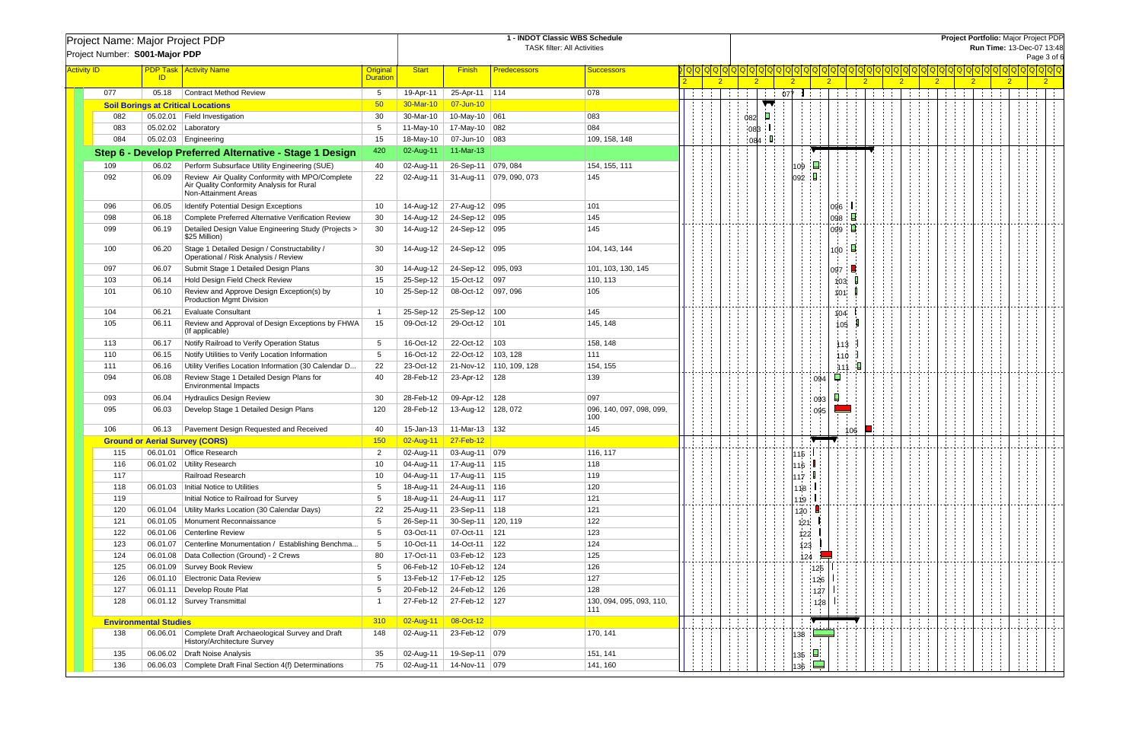|                    |                                |                              | Project Name: Major Project PDP                                                                                      |                                    |              |                         | <b>Project Portfolio: Major Project PDP</b><br>Run Time: 13-Dec-07 13:48 |                                    |                |                             |                |                |                    |                |                |             |                |                |             |                |                |             |  |
|--------------------|--------------------------------|------------------------------|----------------------------------------------------------------------------------------------------------------------|------------------------------------|--------------|-------------------------|--------------------------------------------------------------------------|------------------------------------|----------------|-----------------------------|----------------|----------------|--------------------|----------------|----------------|-------------|----------------|----------------|-------------|----------------|----------------|-------------|--|
|                    | Project Number: S001-Major PDP |                              |                                                                                                                      |                                    |              |                         |                                                                          | <b>TASK filter: All Activities</b> |                |                             |                |                |                    |                |                |             |                |                |             |                |                |             |  |
|                    |                                |                              |                                                                                                                      |                                    |              |                         |                                                                          |                                    |                |                             |                |                |                    |                |                |             |                |                |             |                |                | Page 3 of 6 |  |
| <b>Activity ID</b> |                                | ID                           | <b>PDP Task Activity Name</b>                                                                                        | <b>Original</b><br><b>Duration</b> | <b>Start</b> | <b>Finish</b>           | <b>Predecessors</b>                                                      | <b>Successors</b>                  | $\overline{2}$ |                             | $\overline{2}$ | 2 <sup>2</sup> |                    | $\overline{2}$ | $\overline{2}$ |             | 2 <sup>1</sup> | 2 <sup>2</sup> |             | 2 <sup>1</sup> | $\overline{2}$ |             |  |
|                    | 077                            | 05.18                        | Contract Method Review                                                                                               | 5                                  | 19-Apr-11    | 25-Apr-11 114           |                                                                          | 078                                |                | $\mathcal{L}^{\mathcal{L}}$ |                | $077$ 1        |                    | Albert C       |                | $1 - 1 - 1$ |                |                | $1 - 1 - 1$ | and a state    |                |             |  |
|                    |                                |                              | <b>Soil Borings at Critical Locations</b>                                                                            | 50                                 | 30-Mar-10    | 07-Jun-10               |                                                                          |                                    |                |                             | ▼              |                |                    |                |                |             |                |                |             |                |                |             |  |
|                    | 082                            |                              | 05.02.01   Field Investigation                                                                                       | 30                                 | 30-Mar-10    | 10-May-10 061           |                                                                          | 083                                |                | 082                         | ◘              |                |                    |                |                |             |                |                |             |                |                |             |  |
|                    | 083                            |                              | $05.02.02$   Laboratory                                                                                              | -5                                 | 11-May-10    | 17-May-10 082           |                                                                          | 084                                |                | 083                         |                |                |                    |                |                |             |                |                |             |                |                |             |  |
|                    | 084                            |                              | $05.02.03$   Engineering                                                                                             | 15                                 | 18-May-10    | 07-Jun-10 083           |                                                                          | 109, 158, 148                      |                | 084                         |                |                |                    |                |                |             |                |                |             |                |                |             |  |
|                    |                                |                              | Step 6 - Develop Preferred Alternative - Stage 1 Design                                                              | 420                                | 02-Aug-11    | 11-Mar-13               |                                                                          |                                    |                |                             |                |                |                    |                |                |             |                |                |             |                |                |             |  |
|                    | 109                            | 06.02                        | Perform Subsurface Utility Engineering (SUE)                                                                         | 40                                 | 02-Aug-11    | 26-Sep-11   079, 084    |                                                                          | 154, 155, 111                      |                |                             |                | 09             | О                  |                |                |             |                |                |             |                |                |             |  |
|                    | 092                            | 06.09                        | Review Air Quality Conformity with MPO/Complete<br>Air Quality Conformity Analysis for Rural<br>Non-Attainment Areas | 22                                 | 02-Aug-11    |                         | 31-Aug-11   079, 090, 073                                                | 145                                |                |                             |                | 092            | $\blacksquare$     |                |                |             |                |                |             |                |                |             |  |
|                    | 096                            | 06.05                        | Identify Potential Design Exceptions                                                                                 | -10                                | 14-Aug-12    | 27-Aug-12 095           |                                                                          | 101                                |                |                             |                |                |                    | 096            |                |             |                |                |             |                |                |             |  |
|                    | 098                            | 06.18                        | Complete Preferred Alternative Verification Review                                                                   | 30                                 | 14-Aug-12    | 24-Sep-12 095           |                                                                          | 145                                |                |                             |                |                |                    | 098            | 口              |             |                |                |             |                |                |             |  |
|                    | 099                            | 06.19                        | Detailed Design Value Engineering Study (Projects ><br>\$25 Million)                                                 | 30                                 | 14-Aug-12    | 24-Sep-12 095           |                                                                          | 145                                |                |                             |                |                |                    | 099            |                |             |                |                |             |                |                |             |  |
|                    | 100                            | 06.20                        | Stage 1 Detailed Design / Constructability /<br>Operational / Risk Analysis / Review                                 | 30                                 | 14-Aug-12    | 24-Sep-12 095           |                                                                          | 104, 143, 144                      |                |                             |                |                |                    | 100            |                |             |                |                |             |                |                |             |  |
|                    | 097                            | 06.07                        | Submit Stage 1 Detailed Design Plans                                                                                 | 30                                 | 14-Aug-12    | 24-Sep-12 095, 093      |                                                                          | 101, 103, 130, 145                 |                |                             |                |                |                    | 097            |                |             |                |                |             |                |                |             |  |
|                    | 103                            | 06.14                        | Hold Design Field Check Review                                                                                       | 15                                 | 25-Sep-12    | 15-Oct-12 097           |                                                                          | 110, 113                           |                |                             |                |                |                    | 103            |                |             |                |                |             |                |                |             |  |
|                    | 101                            | 06.10                        | Review and Approve Design Exception(s) by<br><b>Production Mgmt Division</b>                                         | 10                                 | 25-Sep-12    | 08-Oct-12               | 097,096                                                                  | 105                                |                |                             |                |                |                    | 101            |                |             |                |                |             |                |                |             |  |
|                    | 104                            | 06.21                        | <b>Evaluate Consultant</b>                                                                                           | - 1                                | 25-Sep-12    | 25-Sep-12   100         |                                                                          | 145                                |                |                             |                |                |                    | 104            |                |             |                |                |             |                |                |             |  |
|                    | 105                            | 06.11                        | Review and Approval of Design Exceptions by FHWA<br>(If applicable)                                                  | 15                                 | 09-Oct-12    | 29-Oct-12   101         |                                                                          | 145, 148                           |                |                             |                |                |                    | 105            |                |             |                |                |             |                |                |             |  |
|                    | 113                            | 06.17                        | Notify Railroad to Verify Operation Status                                                                           | 5                                  | 16-Oct-12    | 22-Oct-12   103         |                                                                          | 158, 148                           |                |                             |                |                |                    | 113            |                |             |                |                |             |                |                |             |  |
|                    | 110                            | 06.15                        | Notify Utilities to Verify Location Information                                                                      | 5                                  | 16-Oct-12    | 22-Oct-12               | 103, 128                                                                 | 111                                |                |                             |                |                |                    | 110            |                |             |                |                |             |                |                |             |  |
|                    | 111                            | 06.16                        | Utility Verifies Location Information (30 Calendar D.,                                                               | 22                                 | 23-Oct-12    |                         | 21-Nov-12 110, 109, 128                                                  | 154, 155                           |                |                             |                |                |                    | 111            |                |             |                |                |             |                |                |             |  |
|                    | 094                            | 06.08                        | Review Stage 1 Detailed Design Plans for<br><b>Environmental Impacts</b>                                             | 40                                 | 28-Feb-12    | 23-Apr-12   128         |                                                                          | 139                                |                |                             |                |                | : 094              |                |                |             |                |                |             |                |                |             |  |
|                    | 093                            | 06.04                        | <b>Hydraulics Design Review</b>                                                                                      | 30                                 | 28-Feb-12    | 09-Apr-12 128           |                                                                          | 097                                |                |                             |                |                | 093                |                |                |             |                |                |             |                |                |             |  |
|                    | 095                            | 06.03                        | Develop Stage 1 Detailed Design Plans                                                                                | 120                                | 28-Feb-12    | 13-Aug-12 128, 072      |                                                                          | 096, 140, 097, 098, 099,<br>100    |                |                             |                |                | 095                |                |                |             |                |                |             |                |                |             |  |
|                    | 106                            | 06.13                        | Pavement Design Requested and Received                                                                               | 40                                 | 15-Jan-13    | 11-Mar-13 132           |                                                                          | 145                                |                |                             |                |                |                    |                | 106            |             |                |                |             |                |                |             |  |
|                    |                                |                              | <b>Ground or Aerial Survey (CORS)</b>                                                                                | 150                                | 02-Aug-11    | $27-Feb-12$             |                                                                          |                                    |                | $\mathcal{L}$               |                |                |                    |                |                |             |                |                |             |                |                |             |  |
|                    | 115                            |                              | 06.01.01   Office Research                                                                                           |                                    |              | 02-Aug-11 03-Aug-11 079 |                                                                          | 116, 117                           |                |                             |                | 15             |                    |                |                |             |                |                |             |                |                |             |  |
|                    | 116                            |                              | 06.01.02 Utility Research                                                                                            | 10                                 | 04-Aug-11    | 17-Aug-11 115           |                                                                          | 118                                |                |                             |                |                | 116 L              |                |                |             |                |                |             |                |                |             |  |
|                    | 117                            |                              | Railroad Research                                                                                                    | -10                                | 04-Aug-11    | 17-Aug-11 115           |                                                                          | 119                                |                |                             |                |                | 117 $\blacksquare$ |                |                |             |                |                |             |                |                |             |  |
|                    | 118                            |                              | 06.01.03   Initial Notice to Utilities                                                                               | 5                                  | 18-Aug-11    | 24-Aug-11 116           |                                                                          | 120                                |                |                             |                |                | 118   I            |                |                |             |                |                |             |                |                |             |  |
|                    | 119                            |                              | Initial Notice to Railroad for Survey                                                                                | -5                                 | 18-Aug-11    | 24-Aug-11 117           |                                                                          | 121                                |                |                             |                |                | 119   I            |                |                |             |                |                |             |                |                |             |  |
|                    | 120                            |                              | 06.01.04   Utility Marks Location (30 Calendar Days)                                                                 | 22                                 | 25-Aug-11    | 23-Sep-11 118           |                                                                          | 121                                |                |                             |                | 120:           |                    |                |                |             |                |                |             |                |                |             |  |
|                    | 121                            |                              | 06.01.05   Monument Reconnaissance                                                                                   | 5                                  | 26-Sep-11    | 30-Sep-11   120, 119    |                                                                          | 122                                |                |                             |                | 121            |                    |                |                |             |                |                |             |                |                |             |  |
|                    | 122                            |                              | 06.01.06 Centerline Review                                                                                           | 5                                  | 03-Oct-11    | 07-Oct-11               | 121                                                                      | 123                                |                |                             |                | 122            |                    |                |                |             |                |                |             |                |                |             |  |
|                    | 123                            | 06.01.07                     | Centerline Monumentation / Establishing Benchma                                                                      | 5                                  | 10-Oct-11    | 14-Oct-11               | $ 122\rangle$                                                            | 124                                |                |                             |                | 123            |                    |                |                |             |                |                |             |                |                |             |  |
|                    | 124                            |                              | 06.01.08   Data Collection (Ground) - 2 Crews                                                                        | 80                                 | 17-Oct-11    | 03-Feb-12 123           |                                                                          | 125                                |                |                             |                |                | 124                |                |                |             |                |                |             |                |                |             |  |
|                    | 125                            |                              | 06.01.09 Survey Book Review                                                                                          | 5                                  | 06-Feb-12    | 10-Feb-12 124           |                                                                          | 126                                |                |                             |                |                | 125                |                |                |             |                |                |             |                |                |             |  |
|                    | 126                            |                              | 06.01.10 Electronic Data Review                                                                                      | 5                                  | 13-Feb-12    | 17-Feb-12 125           |                                                                          | 127                                |                |                             |                |                | 126                |                |                |             |                |                |             |                |                |             |  |
|                    | 127                            | 06.01.11                     | Develop Route Plat                                                                                                   | 5                                  | 20-Feb-12    | 24-Feb-12 126           |                                                                          | 128                                |                |                             |                |                | 127                |                |                |             |                |                |             |                |                |             |  |
|                    | 128                            |                              | 06.01.12 Survey Transmittal                                                                                          |                                    | 27-Feb-12    | 27-Feb-12 127           |                                                                          | 130, 094, 095, 093, 110,<br>111    |                |                             |                |                | 128                |                |                |             |                |                |             |                |                |             |  |
|                    |                                | <b>Environmental Studies</b> |                                                                                                                      | 310                                | 02-Aug-11    | 08-Oct-12               |                                                                          |                                    |                |                             |                |                |                    |                |                |             |                |                |             |                |                |             |  |
|                    | 138                            | 06.06.01                     | Complete Draft Archaeological Survey and Draft<br>History/Architecture Survey                                        | 148                                | 02-Aug-11    | 23-Feb-12 079           |                                                                          | 170, 141                           |                |                             |                | 138            |                    |                |                |             |                |                |             |                |                |             |  |
|                    | 135                            |                              | 06.06.02   Draft Noise Analysis                                                                                      | 35                                 | 02-Aug-11    | 19-Sep-11 079           |                                                                          | 151, 141                           |                |                             |                | 135            | $\Box$             |                |                |             |                |                |             |                |                |             |  |
|                    | 136                            |                              | 06.06.03 Complete Draft Final Section 4(f) Determinations                                                            | 75                                 | 02-Aug-11    | 14-Nov-11 079           |                                                                          | 141, 160                           |                |                             |                | 136            | Ė                  |                |                |             |                |                |             |                |                |             |  |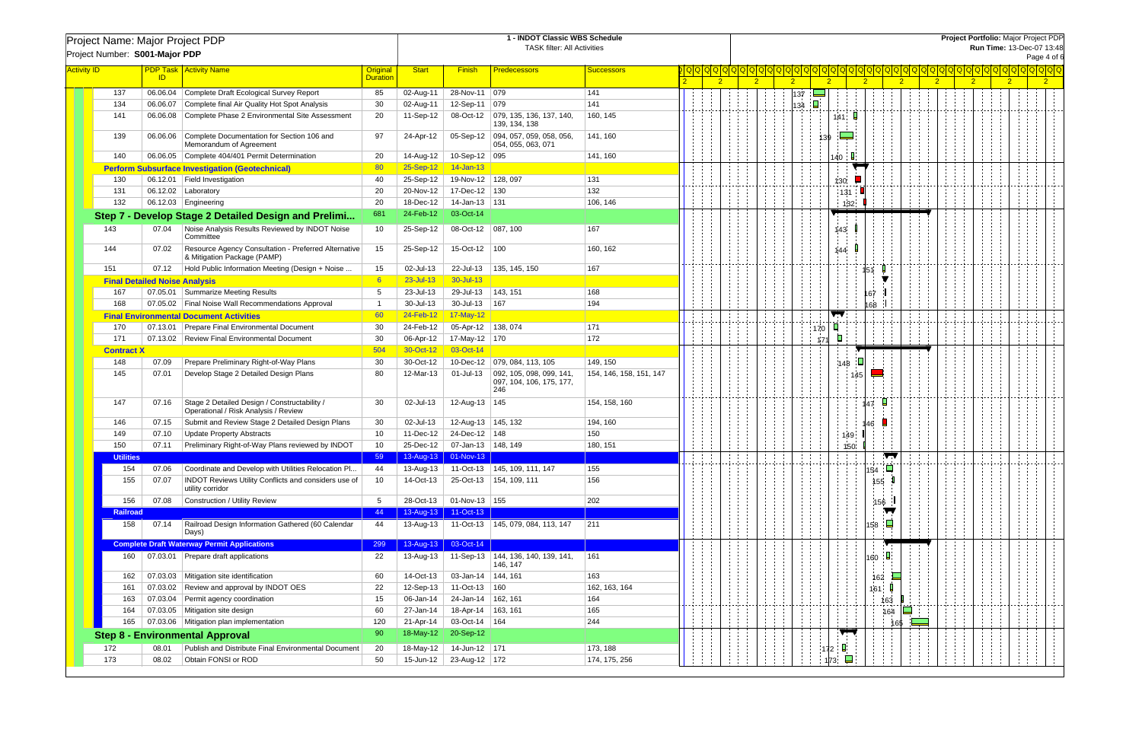| Project Name: Major Project PDP<br>Project Number: S001-Major PDP |                                      |          |                                                                                      |                                    |                          |                            | Project Portfolio: Major Project PDP<br>Run Time: 13-Dec-07 13:48<br>Page 4 of 6 |                         |                |                |                |               |                      |                |                |                             |  |                |                |                             |
|-------------------------------------------------------------------|--------------------------------------|----------|--------------------------------------------------------------------------------------|------------------------------------|--------------------------|----------------------------|----------------------------------------------------------------------------------|-------------------------|----------------|----------------|----------------|---------------|----------------------|----------------|----------------|-----------------------------|--|----------------|----------------|-----------------------------|
| <b>Activity ID</b>                                                |                                      | ID       | <b>PDP Task   Activity Name</b>                                                      | <b>Original</b><br><b>Duration</b> | <b>Start</b>             | <b>Finish</b>              | <b>Predecessors</b>                                                              | <b>Successors</b>       | $\overline{2}$ | $\overline{2}$ | 2 <sup>2</sup> |               | $\overline{2}$       | $\overline{2}$ | $\overline{2}$ | $\overline{2}$              |  | 2 <sup>1</sup> | $\overline{2}$ | <u>a a a a a a a a a a </u> |
|                                                                   | 137                                  |          | 06.06.04 Complete Draft Ecological Survey Report                                     | 85                                 | 02-Aug-11                | 28-Nov-11 079              |                                                                                  | 141                     |                |                | 137            | $\rightarrow$ |                      |                |                |                             |  |                |                |                             |
|                                                                   | 134                                  |          | 06.06.07 Complete final Air Quality Hot Spot Analysis                                | 30                                 | 02-Aug-11                | 12-Sep-11 079              |                                                                                  | 141                     |                |                | 134            | П             |                      |                |                |                             |  |                |                |                             |
|                                                                   | 141                                  |          | 06.06.08 Complete Phase 2 Environmental Site Assessment                              | 20                                 | 11-Sep-12                |                            | 08-Oct-12   079, 135, 136, 137, 140,<br>139, 134, 138                            | 160, 145                |                |                |                |               | 141.                 |                |                |                             |  |                |                |                             |
|                                                                   | 139                                  |          | 06.06.06 Complete Documentation for Section 106 and<br>Memorandum of Agreement       | 97                                 | 24-Apr-12                |                            | 05-Sep-12 094, 057, 059, 058, 056<br>054, 055, 063, 071                          | 141, 160                |                |                |                | 139           | $\equiv$ $\equiv$    |                |                |                             |  |                |                |                             |
|                                                                   | 140                                  |          | 06.06.05 Complete 404/401 Permit Determination                                       | 20                                 | 14-Aug-12                | 10-Sep-12 095              |                                                                                  | 141, 160                |                |                |                |               | 140                  |                |                |                             |  |                |                |                             |
|                                                                   |                                      |          | <b>Perform Subsurface Investigation (Geotechnical)</b>                               | 80                                 | 25-Sep-12                | 14-Jan-13                  |                                                                                  |                         |                |                |                |               |                      |                |                |                             |  |                |                |                             |
|                                                                   | 130                                  |          | 06.12.01   Field Investigation                                                       | 40                                 | 25-Sep-12                | 19-Nov-12   128, 097       |                                                                                  | 131                     |                |                |                |               | 130                  |                |                |                             |  |                |                |                             |
|                                                                   | 131                                  |          | 06.12.02   Laboratory                                                                | 20                                 | 20-Nov-12                | 17-Dec-12   130            |                                                                                  | 132                     |                |                |                |               | 131                  |                |                |                             |  |                |                |                             |
|                                                                   | 132                                  |          | 06.12.03 Engineering                                                                 | -20                                | 18-Dec-12                | 14-Jan-13 131              |                                                                                  | 106, 146                |                |                |                |               | 132                  |                |                |                             |  |                |                |                             |
|                                                                   |                                      |          | Step 7 - Develop Stage 2 Detailed Design and Prelimi                                 | 681                                | 24-Feb-12                | 03-Oct-14                  |                                                                                  |                         |                |                |                |               |                      |                |                |                             |  |                |                |                             |
| 143                                                               |                                      | 07.04    | Noise Analysis Results Reviewed by INDOT Noise<br>Committee                          | 10                                 | 25-Sep-12                | 08-Oct-12   087, 100       |                                                                                  | 167                     |                |                |                |               | 143                  |                |                |                             |  |                |                |                             |
| 144                                                               |                                      | 07.02    | Resource Agency Consultation - Preferred Alternative<br>& Mitigation Package (PAMP)  | 15                                 | 25-Sep-12                | 15-Oct-12   100            |                                                                                  | 160, 162                |                |                |                |               | 144                  |                |                |                             |  |                |                |                             |
| 151                                                               |                                      |          | 07.12   Hold Public Information Meeting (Design + Noise                              | 15                                 | 02-Jul-13                | 22-Jul-13                  | 135, 145, 150                                                                    | 167                     |                |                |                |               |                      | 151.           |                |                             |  |                |                |                             |
|                                                                   | <b>Final Detailed Noise Analysis</b> |          |                                                                                      | 6                                  | 23-Jul-13                | 30-Jul-13                  |                                                                                  |                         |                |                |                |               |                      |                |                |                             |  |                |                |                             |
|                                                                   | 167                                  |          | 07.05.01 Summarize Meeting Results                                                   | -5                                 | 23-Jul-13                | 29-Jul-13                  | 143, 151                                                                         | 168                     |                |                |                |               |                      | 167            |                |                             |  |                |                |                             |
|                                                                   | 168                                  |          | 07.05.02 Final Noise Wall Recommendations Approval                                   | - 1                                | 30-Jul-13                | 30-Jul-13                  | 167                                                                              | 194                     |                |                |                |               |                      | 168            |                |                             |  |                |                |                             |
|                                                                   |                                      |          | <b>Final Environmental Document Activities</b>                                       | 60                                 | 24-Feb-12                | 17-May-12                  |                                                                                  |                         |                |                |                |               |                      |                |                |                             |  |                |                |                             |
|                                                                   | 170                                  |          | 07.13.01 Prepare Final Environmental Document                                        | 30                                 | 24-Feb-12                | 05-Apr-12 138, 074         |                                                                                  | 171                     |                |                |                | 170           |                      |                |                |                             |  |                |                |                             |
|                                                                   | 171                                  |          | 07.13.02 Review Final Environmental Document                                         | 30                                 | 06-Apr-12                | 17-May-12 170              |                                                                                  | 172                     |                |                |                | 171           |                      |                |                |                             |  |                |                |                             |
|                                                                   | <b>Contract X</b>                    |          |                                                                                      | 504                                | 30-Oct-12                | 03-Oct-14                  |                                                                                  |                         |                |                |                |               |                      |                |                |                             |  |                |                |                             |
|                                                                   | 148                                  | 07.09    | Prepare Preliminary Right-of-Way Plans                                               | 30                                 | 30-Oct-12                |                            | 10-Dec-12   079, 084, 113, 105                                                   | 149, 150                |                |                |                |               | 148                  |                |                |                             |  |                |                |                             |
|                                                                   | 145                                  | 07.01    | Develop Stage 2 Detailed Design Plans                                                | 80                                 | 12-Mar-13                | 01-Jul-13                  | $\vert$ 092, 105, 098, 099, 141,<br>097, 104, 106, 175, 177,<br>246              | 154, 146, 158, 151, 147 |                |                |                |               |                      | 145            |                |                             |  |                |                |                             |
|                                                                   | 147                                  | 07.16    | Stage 2 Detailed Design / Constructability /<br>Operational / Risk Analysis / Review | 30                                 | 02-Jul-13                | 12-Aug-13   145            |                                                                                  | 154, 158, 160           |                |                |                |               |                      | 147            |                |                             |  |                |                |                             |
|                                                                   | 146                                  | 07.15    | Submit and Review Stage 2 Detailed Design Plans                                      | 30                                 | 02-Jul-13                | 12-Aug-13 145, 132         |                                                                                  | 194, 160                |                |                |                |               |                      | 146            |                |                             |  |                |                |                             |
|                                                                   | 149                                  | 07.10    | <b>Update Property Abstracts</b>                                                     | 10                                 | 11-Dec-12                | 24-Dec-12   148            |                                                                                  | 150                     |                |                |                |               | 149                  |                |                |                             |  |                |                |                             |
|                                                                   | 150                                  | 07.11    | Preliminary Right-of-Way Plans reviewed by INDOT                                     | 10                                 | 25-Dec-12                | 07-Jan-13   148, 149       |                                                                                  | 180, 151                |                |                |                |               | 150                  |                |                |                             |  |                |                |                             |
|                                                                   | <b>Utilities</b>                     |          |                                                                                      | 59                                 |                          | 13-Aug-13 01-Nov-13        |                                                                                  |                         |                |                |                |               |                      | ┳              |                |                             |  |                |                |                             |
|                                                                   | 154                                  | 07.06    | Coordinate and Develop with Utilities Relocation Pl                                  | 44                                 | 13-Aug-13                |                            | 11-Oct-13   145, 109, 111, 147                                                   | 155                     |                |                |                |               |                      | $\Box$<br>154  |                |                             |  |                |                |                             |
|                                                                   | 155                                  | 07.07    | <b>INDOT Reviews Utility Conflicts and considers use of</b><br>utility corridor      | 10                                 | 14-Oct-13                |                            | 25-Oct-13   154, 109, 111                                                        | 156                     |                |                |                |               |                      | 155            |                |                             |  |                |                |                             |
|                                                                   | 156<br><b>Railroad</b>               | 07.08    | Construction / Utility Review                                                        | 5<br>44                            | 28-Oct-13<br>13-Aug-13   | 01-Nov-13 155<br>11-Oct-13 |                                                                                  | 202                     |                |                |                |               |                      | 156            |                |                             |  |                |                |                             |
|                                                                   | 158                                  | 07.14    | Railroad Design Information Gathered (60 Calendar<br>Days)                           | 44                                 |                          |                            | 13-Aug-13   11-Oct-13   145, 079, 084, 113, 147                                  | 211                     |                |                |                |               |                      | Ę<br>158       |                |                             |  |                |                |                             |
|                                                                   |                                      |          | <b>Complete Draft Waterway Permit Applications</b>                                   | 299                                | 13-Aug-13                | 03-Oct-14                  |                                                                                  |                         |                |                |                |               |                      |                |                |                             |  |                |                |                             |
|                                                                   | 160                                  |          | 07.03.01 Prepare draft applications                                                  | 22                                 | 13-Aug-13                |                            | 11-Sep-13   144, 136, 140, 139, 141,<br>146, 147                                 | 161                     |                |                |                |               |                      | 160            |                |                             |  |                |                |                             |
|                                                                   | 162                                  | 07.03.03 | Mitigation site identification                                                       | 60                                 | 14-Oct-13                | 03-Jan-14   144, 161       |                                                                                  | 163                     |                |                |                |               |                      | 162            | $\Box$         |                             |  |                |                |                             |
|                                                                   | 161                                  | 07.03.02 | Review and approval by INDOT OES                                                     | 22                                 | 12-Sep-13                | 11-Oct-13   160            |                                                                                  | 162, 163, 164           |                |                |                |               |                      | 161            |                |                             |  |                |                |                             |
|                                                                   | 163                                  | 07.03.04 | Permit agency coordination                                                           | 15                                 | 06-Jan-14                | 24-Jan-14 162, 161         |                                                                                  | 164                     |                |                |                |               |                      | 163            |                |                             |  |                |                |                             |
|                                                                   | 164                                  |          | 07.03.05   Mitigation site design                                                    | 60                                 | 27-Jan-14                | 18-Apr-14 163, 161         |                                                                                  | 165                     |                |                |                |               |                      | 164            | $\Box$         |                             |  |                |                |                             |
|                                                                   | 165                                  |          | 07.03.06   Mitigation plan implementation                                            | 120                                | 21-Apr-14                | 03-Oct-14   164            |                                                                                  | 244                     |                |                |                |               |                      |                | 165            | $\mathcal{L}_{\mathcal{A}}$ |  |                |                |                             |
|                                                                   |                                      |          | <b>Step 8 - Environmental Approval</b>                                               | 90                                 | 18-May-12                | 20-Sep-12                  |                                                                                  |                         |                |                |                |               | $\sqrt{2}$           |                |                |                             |  |                |                |                             |
| 172                                                               |                                      | 08.01    | Publish and Distribute Final Environmental Document                                  | 20                                 | 18-May-12                | 14-Jun-12 171              |                                                                                  | 173, 188                |                |                |                |               |                      |                |                |                             |  |                |                |                             |
| 173                                                               |                                      | 08.02    | Obtain FONSI or ROD                                                                  | 50                                 | $15$ -Jun-12 $\parallel$ | 23-Aug-12 172              |                                                                                  | 174, 175, 256           |                |                |                |               | 172<br>$\Box$<br>173 |                |                |                             |  |                |                |                             |
|                                                                   |                                      |          |                                                                                      |                                    |                          |                            |                                                                                  |                         |                |                |                |               |                      |                |                |                             |  |                |                |                             |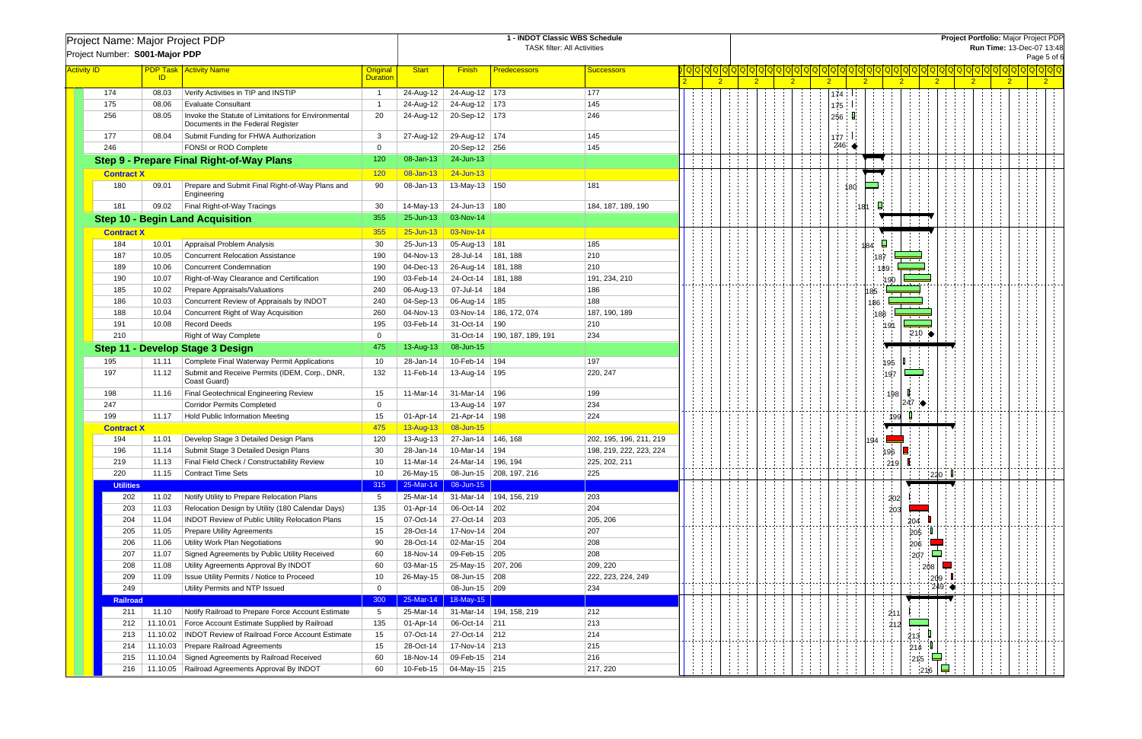|                    | Project Name: Major Project PDP<br>Project Number: S001-Major PDP |                |                                                                                          |                             |              |                                  | 1 - INDOT Classic WBS Schedule<br><b>TASK filter: All Activities</b> |                         | Project Portfolio: Major Project PDP<br>Run Time: 13-Dec-07 13:48<br>Page 5 of 6 |                |            |                |                                  |                        |   |                                            |  |  |  |
|--------------------|-------------------------------------------------------------------|----------------|------------------------------------------------------------------------------------------|-----------------------------|--------------|----------------------------------|----------------------------------------------------------------------|-------------------------|----------------------------------------------------------------------------------|----------------|------------|----------------|----------------------------------|------------------------|---|--------------------------------------------|--|--|--|
| <b>Activity ID</b> |                                                                   | ID             | <b>PDP Task   Activity Name</b>                                                          | Original<br><b>Duration</b> | <b>Start</b> | <b>Finish</b>                    | <b>Predecessors</b>                                                  | <b>Successors</b>       | $\overline{2}$                                                                   | $\overline{2}$ | $\sqrt{2}$ | $\overline{2}$ | 2 <sup>1</sup><br>$\overline{2}$ | $\sqrt{2}$             | 2 | <u> Q Q Q Q Q Q Q Q </u><br>$\overline{2}$ |  |  |  |
|                    | 174                                                               | 08.03          | Verify Activities in TIP and INSTIP                                                      | - 1                         | 24-Aug-12    | 24-Aug-12 173                    |                                                                      | 177                     |                                                                                  |                |            | 174:           |                                  |                        |   |                                            |  |  |  |
|                    | 175                                                               | 08.06          | <b>Evaluate Consultant</b>                                                               |                             | 24-Aug-12    | 24-Aug-12 173                    |                                                                      | 145                     |                                                                                  |                |            | 175            |                                  |                        |   |                                            |  |  |  |
|                    | 256                                                               | 08.05          | Invoke the Statute of Limitations for Environmental<br>Documents in the Federal Register | 20                          | 24-Aug-12    | 20-Sep-12 173                    |                                                                      | 246                     |                                                                                  |                |            | 256 $\Box$     |                                  |                        |   |                                            |  |  |  |
|                    | 177                                                               | 08.04          | Submit Funding for FHWA Authorization                                                    | 3                           | 27-Aug-12    | 29-Aug-12 174                    |                                                                      | 145                     |                                                                                  |                |            | $177-1$        |                                  |                        |   |                                            |  |  |  |
|                    | 246                                                               |                | FONSI or ROD Complete                                                                    | $\Omega$                    |              | 20-Sep-12 256                    |                                                                      | 145                     |                                                                                  |                |            | 246 $\bullet$  |                                  |                        |   |                                            |  |  |  |
|                    |                                                                   |                | <b>Step 9 - Prepare Final Right-of-Way Plans</b>                                         | 120                         | 08-Jan-13    | 24-Jun-13                        |                                                                      |                         |                                                                                  |                |            |                |                                  |                        |   |                                            |  |  |  |
|                    | <b>Contract X</b>                                                 |                |                                                                                          | 120                         | 08-Jan-13    | 24-Jun-13                        |                                                                      |                         |                                                                                  |                |            |                |                                  |                        |   |                                            |  |  |  |
|                    | 180                                                               | 09.01          | Prepare and Submit Final Right-of-Way Plans and<br>Engineering                           | 90                          | 08-Jan-13    | 13-May-13 150                    |                                                                      | 181                     |                                                                                  |                |            |                | 180                              |                        |   |                                            |  |  |  |
|                    | 181                                                               | 09.02          | Final Right-of-Way Tracings                                                              | 30                          | 14-May-13    | 24-Jun-13 180                    |                                                                      | 184, 187, 189, 190      |                                                                                  |                |            |                |                                  |                        |   |                                            |  |  |  |
|                    |                                                                   |                | <b>Step 10 - Begin Land Acquisition</b>                                                  | 355                         | 25-Jun-13    | 03-Nov-14                        |                                                                      |                         |                                                                                  |                |            |                |                                  |                        |   |                                            |  |  |  |
|                    |                                                                   |                |                                                                                          | 355                         | 25-Jun-13    | 03-Nov-14                        |                                                                      |                         |                                                                                  |                |            |                |                                  |                        |   |                                            |  |  |  |
|                    | <b>Contract X</b><br>184                                          |                | Appraisal Problem Analysis                                                               | 30                          | 25-Jun-13    |                                  |                                                                      | 185                     |                                                                                  |                |            |                |                                  |                        |   |                                            |  |  |  |
|                    | 187                                                               | 10.01<br>10.05 | <b>Concurrent Relocation Assistance</b>                                                  | 190                         | 04-Nov-13    | 05-Aug-13   181<br>28-Jul-14     | 181, 188                                                             | 210                     |                                                                                  |                |            |                | 184                              |                        |   |                                            |  |  |  |
|                    | 189                                                               | 10.06          | <b>Concurrent Condemnation</b>                                                           | 190                         | 04-Dec-13    | 26-Aug-14   181, 188             |                                                                      | 210                     |                                                                                  |                |            |                | 187                              |                        |   |                                            |  |  |  |
|                    | 190                                                               | 10.07          | Right-of-Way Clearance and Certification                                                 | 190                         | 03-Feb-14    | 24-Oct-14                        | 181, 188                                                             | 191, 234, 210           |                                                                                  |                |            |                | 189<br>190                       |                        |   |                                            |  |  |  |
|                    | 185                                                               | 10.02          | Prepare Appraisals/Valuations                                                            | 240                         | 06-Aug-13    | 07-Jul-14                        | 184                                                                  | 186                     |                                                                                  |                |            |                | 185                              |                        |   |                                            |  |  |  |
|                    | 186                                                               | 10.03          | Concurrent Review of Appraisals by INDOT                                                 | 240                         | 04-Sep-13    | 06-Aug-14   185                  |                                                                      | 188                     |                                                                                  |                |            |                | 186                              |                        |   |                                            |  |  |  |
|                    | 188                                                               | 10.04          | Concurrent Right of Way Acquisition                                                      | 260                         | 04-Nov-13    |                                  | 03-Nov-14   186, 172, 074                                            | 187, 190, 189           |                                                                                  |                |            |                | 188                              |                        |   |                                            |  |  |  |
|                    | 191                                                               | 10.08          | <b>Record Deeds</b>                                                                      | 195                         | 03-Feb-14    | 31-Oct-14   190                  |                                                                      | 210                     |                                                                                  |                |            |                | 191                              |                        |   |                                            |  |  |  |
|                    | 210                                                               |                | <b>Right of Way Complete</b>                                                             | $\overline{0}$              |              |                                  | 31-Oct-14   190, 187, 189, 191                                       | 234                     |                                                                                  |                |            |                |                                  | $210$ $\bullet$        |   |                                            |  |  |  |
|                    |                                                                   |                | Step 11 - Develop Stage 3 Design                                                         | 475                         | 13-Aug-13    | 08-Jun-15                        |                                                                      |                         |                                                                                  |                |            |                |                                  |                        |   |                                            |  |  |  |
|                    | 195                                                               | 11.11          | Complete Final Waterway Permit Applications                                              | 10                          | 28-Jan-14    | 10-Feb-14 194                    |                                                                      | 197                     |                                                                                  |                |            |                |                                  |                        |   |                                            |  |  |  |
|                    | 197                                                               | 11.12          | Submit and Receive Permits (IDEM, Corp., DNR,<br>Coast Guard)                            | 132                         | 11-Feb-14    | 13-Aug-14   195                  |                                                                      | 220, 247                |                                                                                  |                |            |                | 195<br>197                       |                        |   |                                            |  |  |  |
|                    | 198                                                               | 11.16          | Final Geotechnical Engineering Review                                                    | 15                          | 11-Mar-14    | 31-Mar-14   196                  |                                                                      | 199                     |                                                                                  |                |            |                | 1981                             |                        |   |                                            |  |  |  |
|                    | 247                                                               |                | <b>Corridor Permits Completed</b>                                                        | $\mathbf 0$                 |              | 13-Aug-14   197                  |                                                                      | 234                     |                                                                                  |                |            |                | 247                              |                        |   |                                            |  |  |  |
|                    | 199                                                               | 11.17          | Hold Public Information Meeting                                                          | 15                          | 01-Apr-14    | 21-Apr-14   198                  |                                                                      | 224                     |                                                                                  |                |            |                | 199                              |                        |   |                                            |  |  |  |
|                    | <b>Contract X</b>                                                 |                |                                                                                          | 475                         | 13-Aug-13    | 08-Jun-15                        |                                                                      |                         |                                                                                  |                |            |                |                                  |                        |   |                                            |  |  |  |
|                    | 194                                                               | 11.01          | Develop Stage 3 Detailed Design Plans                                                    | 120                         |              | 13-Aug-13   27-Jan-14   146, 168 |                                                                      | 202, 195, 196, 211, 219 |                                                                                  |                |            |                | 194                              |                        |   |                                            |  |  |  |
|                    | 196                                                               | 11.14          | Submit Stage 3 Detailed Design Plans                                                     | 30                          |              | 28-Jan-14   10-Mar-14   194      |                                                                      | 198, 219, 222, 223, 224 |                                                                                  |                |            |                | ¦196                             |                        |   |                                            |  |  |  |
|                    | 219                                                               | 11.13          | Final Field Check / Constructability Review                                              | 10                          | 11-Mar-14    | 24-Mar-14   196, 194             |                                                                      | 225, 202, 211           |                                                                                  |                |            |                | 219                              |                        |   |                                            |  |  |  |
|                    | 220                                                               | 11.15          | Contract Time Sets                                                                       | 10                          | 26-May-15    |                                  | 08-Jun-15 208, 197, 216                                              | 225                     |                                                                                  |                |            |                |                                  | 220                    |   |                                            |  |  |  |
|                    | <b>Utilities</b>                                                  |                |                                                                                          | 315                         | 25-Mar-14    | 08-Jun-15                        |                                                                      |                         |                                                                                  |                |            |                |                                  |                        |   |                                            |  |  |  |
|                    | 202                                                               | 11.02          | Notify Utility to Prepare Relocation Plans                                               | -5                          | 25-Mar-14    |                                  | 31-Mar-14 194, 156, 219                                              | 203                     |                                                                                  |                |            |                | 202                              |                        |   |                                            |  |  |  |
|                    | 203                                                               | 11.03          | Relocation Design by Utility (180 Calendar Days)                                         | 135                         | 01-Apr-14    | 06-Oct-14 202                    |                                                                      | 204                     |                                                                                  |                |            |                | 203                              |                        |   |                                            |  |  |  |
|                    | 204                                                               | 11.04          | INDOT Review of Public Utility Relocation Plans                                          | 15                          | 07-Oct-14    | 27-Oct-14 203                    |                                                                      | 205, 206                |                                                                                  |                |            |                |                                  | 204                    |   |                                            |  |  |  |
|                    | 205                                                               | 11.05          | <b>Prepare Utility Agreements</b>                                                        | 15                          | 28-Oct-14    | 17-Nov-14 204                    |                                                                      | 207                     |                                                                                  |                |            |                |                                  | 205                    |   |                                            |  |  |  |
|                    | 206                                                               | 11.06          | <b>Utility Work Plan Negotiations</b>                                                    | 90                          | 28-Oct-14    | 02-Mar-15 204                    |                                                                      | 208                     |                                                                                  |                |            |                |                                  | 206                    |   |                                            |  |  |  |
|                    | 207                                                               | 11.07          | Signed Agreements by Public Utility Received                                             | 60                          | 18-Nov-14    | 09-Feb-15 205                    |                                                                      | 208                     |                                                                                  |                |            |                |                                  | 207                    |   |                                            |  |  |  |
|                    | 208                                                               | 11.08          | Utility Agreements Approval By INDOT                                                     | 60                          | 03-Mar-15    | 25-May-15 207, 206               |                                                                      | 209, 220                |                                                                                  |                |            |                |                                  | 208                    |   |                                            |  |  |  |
|                    | 209                                                               | 11.09          | <b>Issue Utility Permits / Notice to Proceed</b>                                         | 10                          | 26-May-15    | 08-Jun-15 208                    |                                                                      | 222, 223, 224, 249      |                                                                                  |                |            |                |                                  | 209<br>$249$ $\bullet$ |   |                                            |  |  |  |
|                    | 249                                                               |                | Utility Permits and NTP Issued                                                           | $\mathbf 0$                 | 25-Mar-14    | 08-Jun-15 209<br>18-May-15       |                                                                      | 234                     |                                                                                  |                |            |                |                                  |                        |   |                                            |  |  |  |
|                    | <b>Railroad</b><br>211                                            | 11.10          | Notify Railroad to Prepare Force Account Estimate                                        | 300<br>5                    | 25-Mar-14    |                                  | 31-Mar-14 194, 158, 219                                              | 212                     |                                                                                  |                |            |                |                                  |                        |   |                                            |  |  |  |
|                    | 212                                                               | 11.10.01       | Force Account Estimate Supplied by Railroad                                              | 135                         | 01-Apr-14    | 06-Oct-14 211                    |                                                                      | 213                     |                                                                                  |                |            |                | 211                              |                        |   |                                            |  |  |  |
|                    | 213                                                               | 11.10.02       | <b>INDOT Review of Railroad Force Account Estimate</b>                                   | 15                          | 07-Oct-14    | 27-Oct-14 212                    |                                                                      | 214                     |                                                                                  |                |            |                | 212                              |                        |   |                                            |  |  |  |
|                    | 214                                                               |                | 11.10.03 Prepare Railroad Agreements                                                     | 15                          | 28-Oct-14    | 17-Nov-14 213                    |                                                                      | 215                     |                                                                                  |                |            |                |                                  | 213<br>214             |   |                                            |  |  |  |
|                    | 215                                                               | 11.10.04       | Signed Agreements by Railroad Received                                                   | 60                          | 18-Nov-14    | 09-Feb-15 214                    |                                                                      | 216                     |                                                                                  |                |            |                |                                  | ┕═<br>215              |   |                                            |  |  |  |
|                    | 216                                                               |                | 11.10.05   Railroad Agreements Approval By INDOT                                         | 60                          | 10-Feb-15    | 04-May-15 215                    |                                                                      | 217, 220                |                                                                                  |                |            |                |                                  | 216                    |   |                                            |  |  |  |
|                    |                                                                   |                |                                                                                          |                             |              |                                  |                                                                      |                         |                                                                                  |                |            |                |                                  |                        |   |                                            |  |  |  |